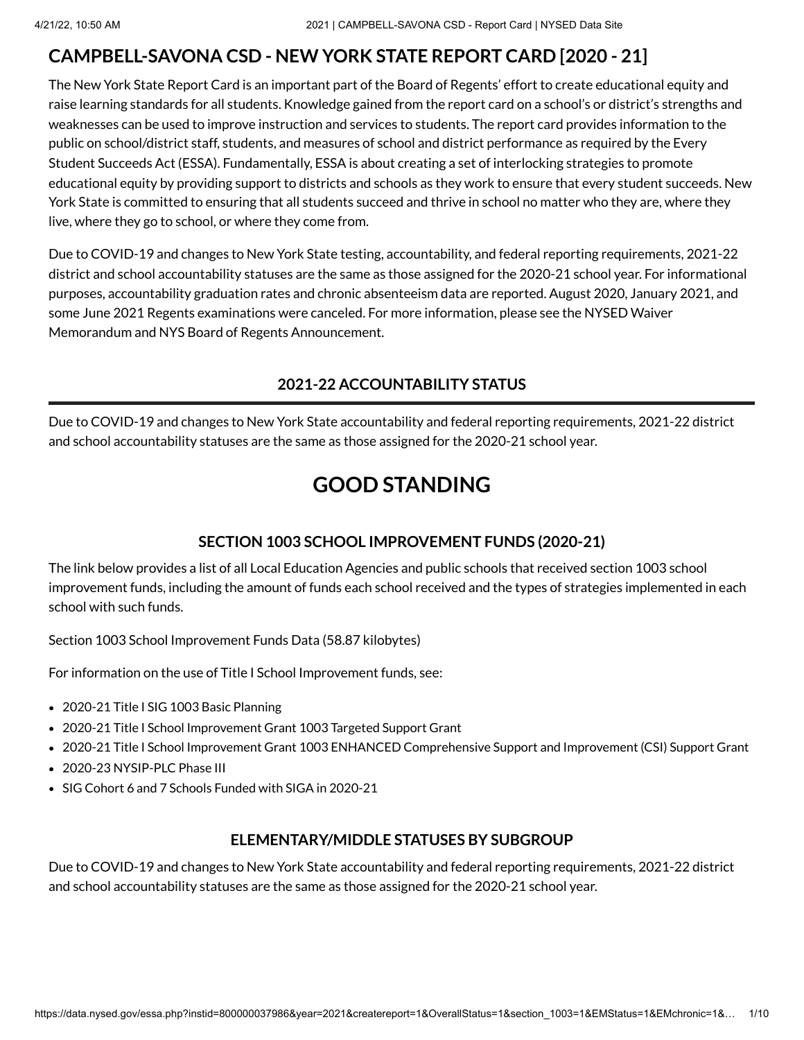## **CAMPBELL-SAVONA CSD - NEW YORK STATE REPORT CARD [2020 - 21]**

The New York State Report Card is an important part of the Board of Regents' effort to create educational equity and raise learning standards for all students. Knowledge gained from the report card on a school's or district's strengths and weaknesses can be used to improve instruction and services to students. The report card provides information to the public on school/district staff, students, and measures of school and district performance as required by the Every Student Succeeds Act (ESSA). Fundamentally, ESSA is about creating a set of interlocking strategies to promote educational equity by providing support to districts and schools as they work to ensure that every student succeeds. New York State is committed to ensuring that all students succeed and thrive in school no matter who they are, where they live, where they go to school, or where they come from.

Due to COVID-19 and changes to New York State testing, accountability, and federal reporting requirements, 2021-22 district and school accountability statuses are the same as those assigned for the 2020-21 school year. For informational purposes, accountability graduation rates and chronic absenteeism data are reported. August 2020, January 2021, and some June 2021 Regents examinations were canceled. For more information, please see the NYSED Waiver Memorandum and NYS Board of Regents [Announcement.](http://www.nysed.gov/memo/accountability/united-states-department-education-usde-waiver-every-student-succeeds-act-essa)

## **2021-22 ACCOUNTABILITY STATUS**

Due to COVID-19 and changes to New York State accountability and federal reporting requirements, 2021-22 district and school accountability statuses are the same as those assigned for the 2020-21 school year.

# **GOOD STANDING**

## **SECTION 1003 SCHOOL IMPROVEMENT FUNDS (2020-21)**

The link below provides a list of all Local Education Agencies and public schools that received section 1003 school improvement funds, including the amount of funds each school received and the types of strategies implemented in each school with such funds.

Section 1003 School [Improvement](https://data.nysed.gov/files/essa/20-21/1003.xlsx) Funds Data (58.87 kilobytes)

For information on the use of Title I School Improvement funds, see:

- 2020-21 Title I SIG 1003 [Basic Planning](http://www.p12.nysed.gov/funding/currentapps.html#siga2020-21)
- 2020-21 Title I School Improvement Grant 1003 [Targeted Support](http://www.p12.nysed.gov/funding/currentapps.html#sig-targeted-2020-21) Grant
- 2020-21 Title I School Improvement Grant 1003 ENHANCED [Comprehensive](http://www.p12.nysed.gov/funding/currentapps.html#sig-csi-2020) Support and Improvement (CSI) Support Grant
- 2020-23 [NYSIP-PLC](http://www.p12.nysed.gov/funding/currentapps.html#nysip-plc-phase-3) Phase III
- SIG Cohort 6 and 7 Schools [Funded with](http://www.p12.nysed.gov/oisr/) SIGA in 2020-21

#### **ELEMENTARY/MIDDLE STATUSES BY SUBGROUP**

Due to COVID-19 and changes to New York State accountability and federal reporting requirements, 2021-22 district and school accountability statuses are the same as those assigned for the 2020-21 school year.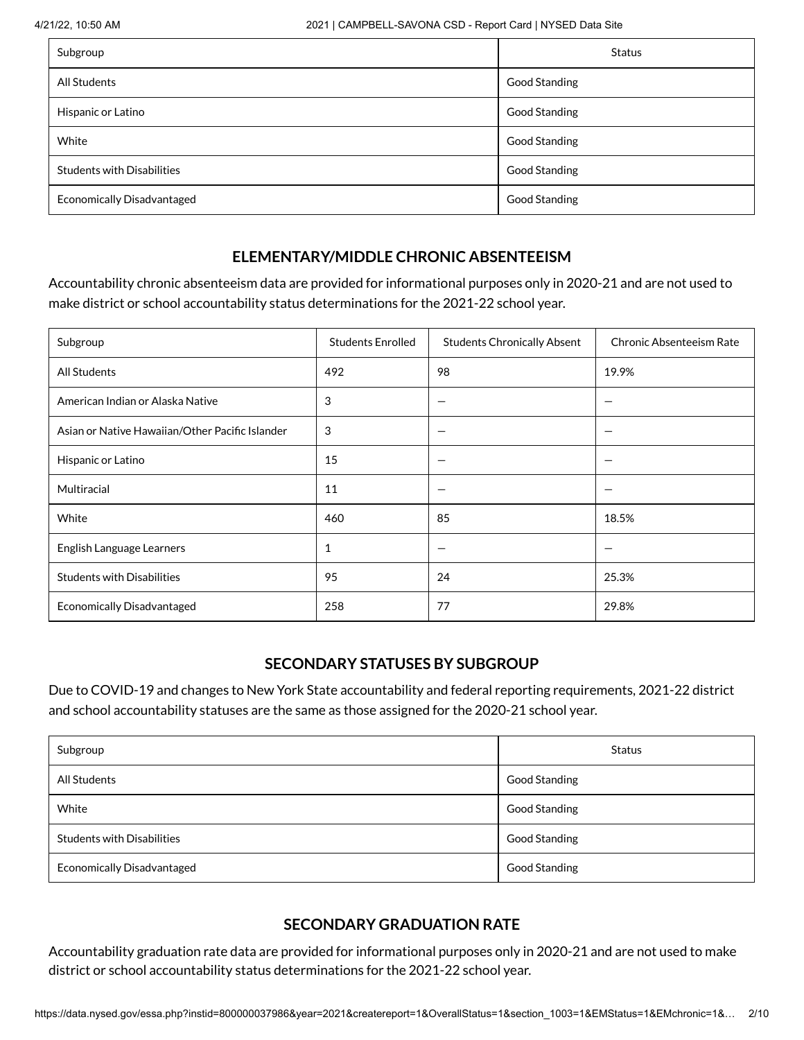| Subgroup                          | Status        |
|-----------------------------------|---------------|
| All Students                      | Good Standing |
| Hispanic or Latino                | Good Standing |
| White                             | Good Standing |
| <b>Students with Disabilities</b> | Good Standing |
| <b>Economically Disadvantaged</b> | Good Standing |

## **ELEMENTARY/MIDDLE CHRONIC ABSENTEEISM**

Accountability chronic absenteeism data are provided for informational purposes only in 2020-21 and are not used to make district or school accountability status determinations for the 2021-22 school year.

| Subgroup                                        | <b>Students Enrolled</b> | <b>Students Chronically Absent</b> | <b>Chronic Absenteeism Rate</b> |  |  |
|-------------------------------------------------|--------------------------|------------------------------------|---------------------------------|--|--|
| All Students                                    | 492                      | 98                                 | 19.9%                           |  |  |
| American Indian or Alaska Native                | 3                        |                                    |                                 |  |  |
| Asian or Native Hawaiian/Other Pacific Islander | 3                        |                                    |                                 |  |  |
| Hispanic or Latino                              | 15                       | -                                  |                                 |  |  |
| Multiracial                                     | 11                       |                                    |                                 |  |  |
| White                                           | 460                      | 85                                 | 18.5%                           |  |  |
| English Language Learners                       | 1                        |                                    |                                 |  |  |
| <b>Students with Disabilities</b>               | 95                       | 24                                 | 25.3%                           |  |  |
| <b>Economically Disadvantaged</b>               | 258                      | 77                                 | 29.8%                           |  |  |

#### **SECONDARY STATUSES BY SUBGROUP**

Due to COVID-19 and changes to New York State accountability and federal reporting requirements, 2021-22 district and school accountability statuses are the same as those assigned for the 2020-21 school year.

| Subgroup                          | Status        |
|-----------------------------------|---------------|
| All Students                      | Good Standing |
| White                             | Good Standing |
| <b>Students with Disabilities</b> | Good Standing |
| <b>Economically Disadvantaged</b> | Good Standing |

## **SECONDARY GRADUATION RATE**

Accountability graduation rate data are provided for informational purposes only in 2020-21 and are not used to make district or school accountability status determinations for the 2021-22 school year.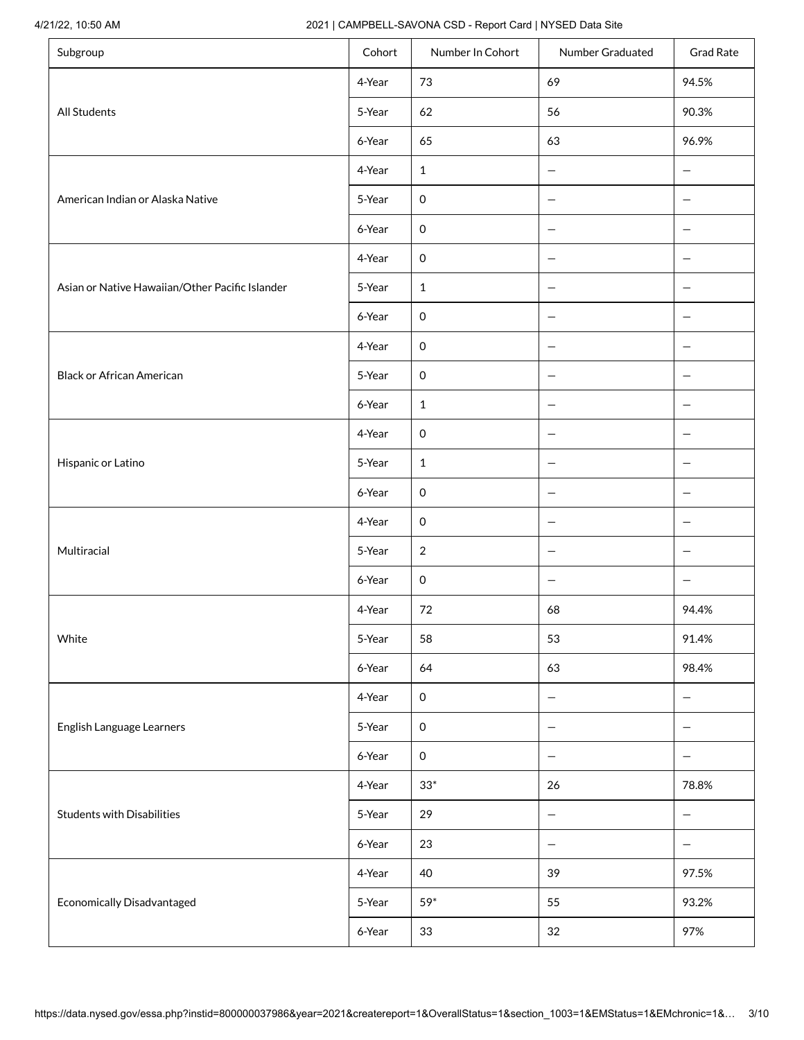#### 4/21/22, 10:50 AM 2021 | CAMPBELL-SAVONA CSD - Report Card | NYSED Data Site

| Subgroup                                        | Cohort | Number In Cohort    | Number Graduated         | <b>Grad Rate</b>         |
|-------------------------------------------------|--------|---------------------|--------------------------|--------------------------|
|                                                 | 4-Year | 73                  | 69                       | 94.5%                    |
| All Students                                    | 5-Year | 62                  | 56                       | 90.3%                    |
|                                                 | 6-Year | 65                  | 63                       | 96.9%                    |
|                                                 | 4-Year | $\mathbf{1}$        | -                        |                          |
| American Indian or Alaska Native                | 5-Year | $\mathsf{O}\xspace$ | $\qquad \qquad -$        | -                        |
|                                                 | 6-Year | $\mathsf{O}\xspace$ | $\qquad \qquad -$        | $\overline{\phantom{m}}$ |
|                                                 | 4-Year | $\mathsf{O}\xspace$ | -                        | $\overline{\phantom{m}}$ |
| Asian or Native Hawaiian/Other Pacific Islander | 5-Year | $\mathbf{1}$        | $\qquad \qquad -$        | -                        |
|                                                 | 6-Year | $\mathsf{O}\xspace$ | $\qquad \qquad -$        | -                        |
|                                                 | 4-Year | $\mathsf{O}\xspace$ | $\qquad \qquad -$        | $\overline{\phantom{m}}$ |
| <b>Black or African American</b>                | 5-Year | $\mathsf{O}\xspace$ | $\qquad \qquad -$        | -                        |
|                                                 | 6-Year | $\mathbf{1}$        | $\qquad \qquad$          |                          |
|                                                 | 4-Year | $\mathsf{O}\xspace$ | $\qquad \qquad -$        | $\qquad \qquad -$        |
| Hispanic or Latino                              | 5-Year | $\mathbf{1}$        | $\qquad \qquad -$        | $\overline{\phantom{m}}$ |
|                                                 | 6-Year | $\mathsf{O}\xspace$ | $\overline{\phantom{m}}$ | $\overline{\phantom{m}}$ |
|                                                 | 4-Year | $\mathsf{O}\xspace$ | —                        | $\qquad \qquad -$        |
| Multiracial                                     | 5-Year | $\overline{2}$      | $\overline{\phantom{m}}$ | $\qquad \qquad -$        |
|                                                 | 6-Year | $\mathsf{O}\xspace$ | -                        | $\overline{\phantom{m}}$ |
|                                                 | 4-Year | 72                  | 68                       | 94.4%                    |
| White                                           | 5-Year | 58                  | 53                       | 91.4%                    |
|                                                 | 6-Year | 64                  | 63                       | 98.4%                    |
|                                                 | 4-Year | $\mathsf{O}\xspace$ | $\overline{\phantom{0}}$ | $\overline{\phantom{m}}$ |
| English Language Learners                       | 5-Year | $\mathsf{O}\xspace$ | -                        | $\qquad \qquad -$        |
|                                                 | 6-Year | $\mathsf{O}\xspace$ | $\overline{\phantom{0}}$ | $\overline{\phantom{m}}$ |
|                                                 | 4-Year | $33^*$              | 26                       | 78.8%                    |
| <b>Students with Disabilities</b>               | 5-Year | 29                  | $\qquad \qquad -$        | $\qquad \qquad -$        |
|                                                 | 6-Year | 23                  | -                        | $\qquad \qquad -$        |
|                                                 | 4-Year | 40                  | 39                       | 97.5%                    |
| <b>Economically Disadvantaged</b>               | 5-Year | $59*$               | 55                       | 93.2%                    |
|                                                 | 6-Year | 33                  | 32                       | 97%                      |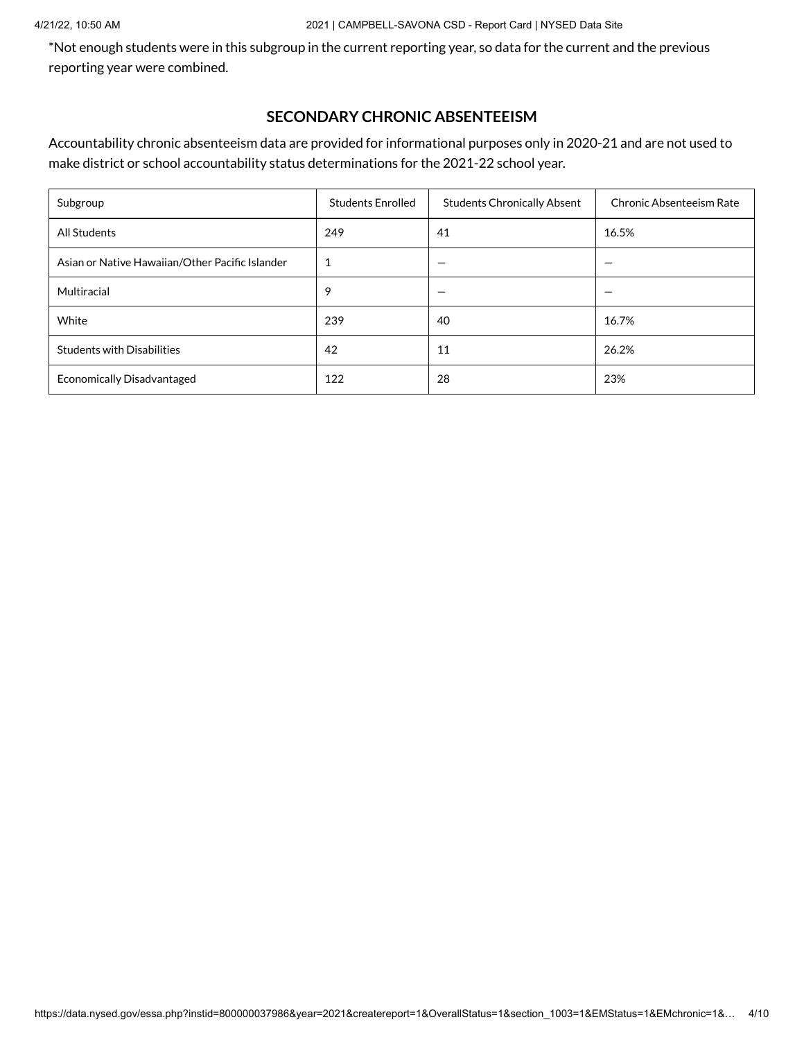#### 4/21/22, 10:50 AM 2021 | CAMPBELL-SAVONA CSD - Report Card | NYSED Data Site

\*Not enough students were in this subgroup in the current reporting year, so data for the current and the previous reporting year were combined.

#### **SECONDARY CHRONIC ABSENTEEISM**

Accountability chronic absenteeism data are provided for informational purposes only in 2020-21 and are not used to make district or school accountability status determinations for the 2021-22 school year.

| Subgroup                                        | <b>Students Enrolled</b> | <b>Students Chronically Absent</b> | Chronic Absenteeism Rate |
|-------------------------------------------------|--------------------------|------------------------------------|--------------------------|
| <b>All Students</b>                             | 249                      | 41                                 | 16.5%                    |
| Asian or Native Hawaiian/Other Pacific Islander | 1                        |                                    |                          |
| Multiracial                                     | 9                        |                                    |                          |
| White                                           | 239                      | 40                                 | 16.7%                    |
| <b>Students with Disabilities</b>               | 42                       | 11                                 | 26.2%                    |
| <b>Economically Disadvantaged</b>               | 122                      | 28                                 | 23%                      |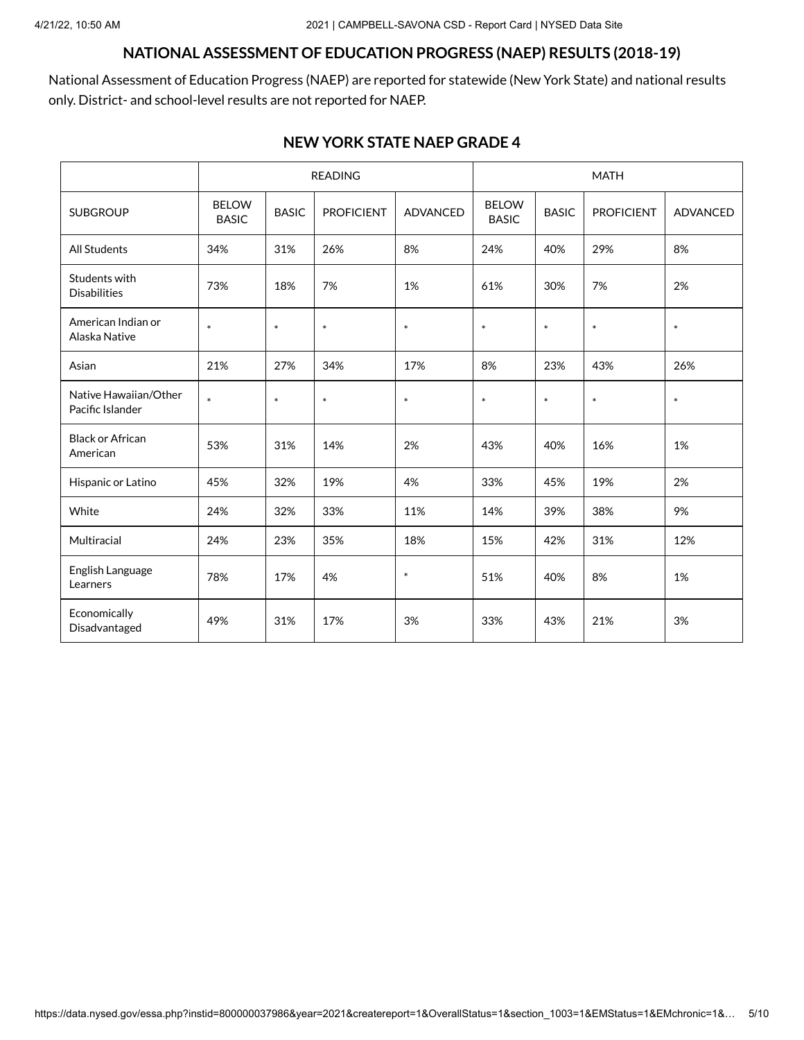## **NATIONAL ASSESSMENT OF EDUCATION PROGRESS (NAEP) RESULTS (2018-19)**

National Assessment of Education Progress (NAEP) are reported for statewide (New York State) and national results only. District- and school-level results are not reported for NAEP.

#### **NEW YORK STATE NAEP GRADE 4**

|                                           |                              |                                      | <b>READING</b>    |                                                                                      | <b>MATH</b> |        |                 |     |  |
|-------------------------------------------|------------------------------|--------------------------------------|-------------------|--------------------------------------------------------------------------------------|-------------|--------|-----------------|-----|--|
| <b>SUBGROUP</b>                           | <b>BELOW</b><br><b>BASIC</b> | <b>BASIC</b>                         | <b>PROFICIENT</b> | <b>BELOW</b><br><b>BASIC</b><br><b>ADVANCED</b><br><b>PROFICIENT</b><br><b>BASIC</b> |             |        | <b>ADVANCED</b> |     |  |
| <b>All Students</b>                       | 34%                          | 31%                                  | 26%               | 8%                                                                                   | 24%         | 40%    | 29%             | 8%  |  |
| Students with<br><b>Disabilities</b>      | 73%                          | 18%<br>7%                            |                   | 1%<br>61%                                                                            |             | 30%    | 7%              | 2%  |  |
| American Indian or<br>Alaska Native       | $\ast$<br>$\ast$<br>$\ast$   |                                      | $\ast$<br>$\ast$  |                                                                                      | $\ast$      | $\ast$ | $\ast$          |     |  |
| Asian                                     | 21%<br>27%                   |                                      | 34%               | 8%<br>17%                                                                            |             | 23%    | 43%             | 26% |  |
| Native Hawaiian/Other<br>Pacific Islander | $\ast$                       | $\ast$<br>$\ast$<br>$\ast$<br>$\ast$ |                   |                                                                                      | $\ast$      | $\ast$ | $\ast$          |     |  |
| <b>Black or African</b><br>American       | 53%                          | 31%<br>14%                           |                   | 2%                                                                                   | 43%         | 40%    | 16%             | 1%  |  |
| Hispanic or Latino                        | 45%                          | 32%                                  | 19%               | 4%                                                                                   | 33%         | 45%    | 19%             | 2%  |  |
| White                                     | 24%                          | 32%                                  | 33%               | 11%                                                                                  | 14%         | 39%    | 38%             | 9%  |  |
| Multiracial                               | 24%                          | 23%                                  | 35%               | 18%                                                                                  | 15%         | 42%    | 31%             | 12% |  |
| English Language<br>Learners              | 78%                          | 17%<br>4%                            |                   | $\ast$                                                                               | 51%         | 40%    | 8%              | 1%  |  |
| Economically<br>Disadvantaged             | 49%                          | 31%                                  | 17%               | 3%                                                                                   | 33%         | 43%    | 21%             | 3%  |  |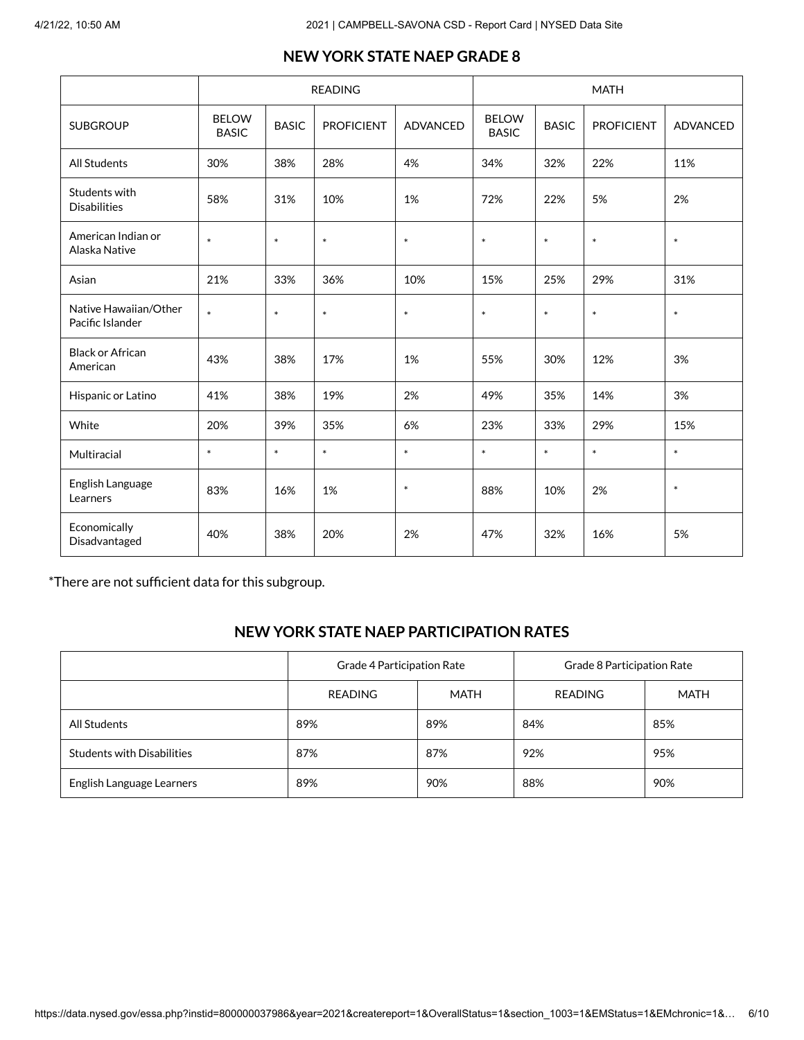|                                           |                              |                  | <b>READING</b>    |                 |                                                                   |        | <b>MATH</b> |                 |  |
|-------------------------------------------|------------------------------|------------------|-------------------|-----------------|-------------------------------------------------------------------|--------|-------------|-----------------|--|
| <b>SUBGROUP</b>                           | <b>BELOW</b><br><b>BASIC</b> | <b>BASIC</b>     | <b>PROFICIENT</b> | <b>ADVANCED</b> | <b>BELOW</b><br><b>PROFICIENT</b><br><b>BASIC</b><br><b>BASIC</b> |        |             | <b>ADVANCED</b> |  |
| All Students                              | 30%                          | 38%              | 28%               | 4%              | 34%                                                               | 32%    | 22%         | 11%             |  |
| Students with<br><b>Disabilities</b>      | 58%                          | 31%<br>10%       |                   | 1%              | 72%<br>22%                                                        |        | 5%          | 2%              |  |
| American Indian or<br>Alaska Native       | $\ast$                       | $\ast$<br>$\ast$ |                   | $\ast$          | $\ast$<br>$\ast$                                                  |        | $\ast$      | $\ast$          |  |
| Asian                                     | 21%                          | 33%              | 36%               | 10%             | 15%<br>25%                                                        |        | 29%         | 31%             |  |
| Native Hawaiian/Other<br>Pacific Islander | $\ast$                       | $\ast$           | $\ast$            | $\ast$          | $\ast$                                                            | $\ast$ | $\ast$      | $\ast$          |  |
| <b>Black or African</b><br>American       | 43%                          | 38%              | 17%               | 1%              | 55%                                                               | 30%    | 12%         | 3%              |  |
| Hispanic or Latino                        | 41%                          | 38%              | 19%               | 2%              | 49%                                                               | 35%    | 14%         | 3%              |  |
| White                                     | 20%                          | 39%              | 35%               | 6%              | 23%                                                               | 33%    | 29%         | 15%             |  |
| Multiracial                               | $\ast$                       | $\ast$           | $\ast$            | $\ast$          | $\ast$                                                            | $\ast$ | $\ast$      | $\ast$          |  |
| English Language<br>Learners              | 83%                          | 16%<br>1%        |                   | $\ast$          | 88%                                                               | 10%    | 2%          | $\ast$          |  |
| Economically<br>Disadvantaged             | 40%                          | 38%              | 20%               | 2%              | 47%                                                               | 32%    | 16%         | 5%              |  |

## **NEW YORK STATE NAEP GRADE 8**

\*There are not sufficient data for this subgroup.

## **NEW YORK STATE NAEP PARTICIPATION RATES**

|                                   | Grade 4 Participation Rate |      | Grade 8 Participation Rate |             |  |  |
|-----------------------------------|----------------------------|------|----------------------------|-------------|--|--|
|                                   | <b>READING</b>             | MATH | <b>READING</b>             | <b>MATH</b> |  |  |
| All Students                      | 89%                        | 89%  | 84%                        | 85%         |  |  |
| <b>Students with Disabilities</b> | 87%                        | 87%  | 92%                        | 95%         |  |  |
| English Language Learners         | 89%                        | 90%  | 88%                        | 90%         |  |  |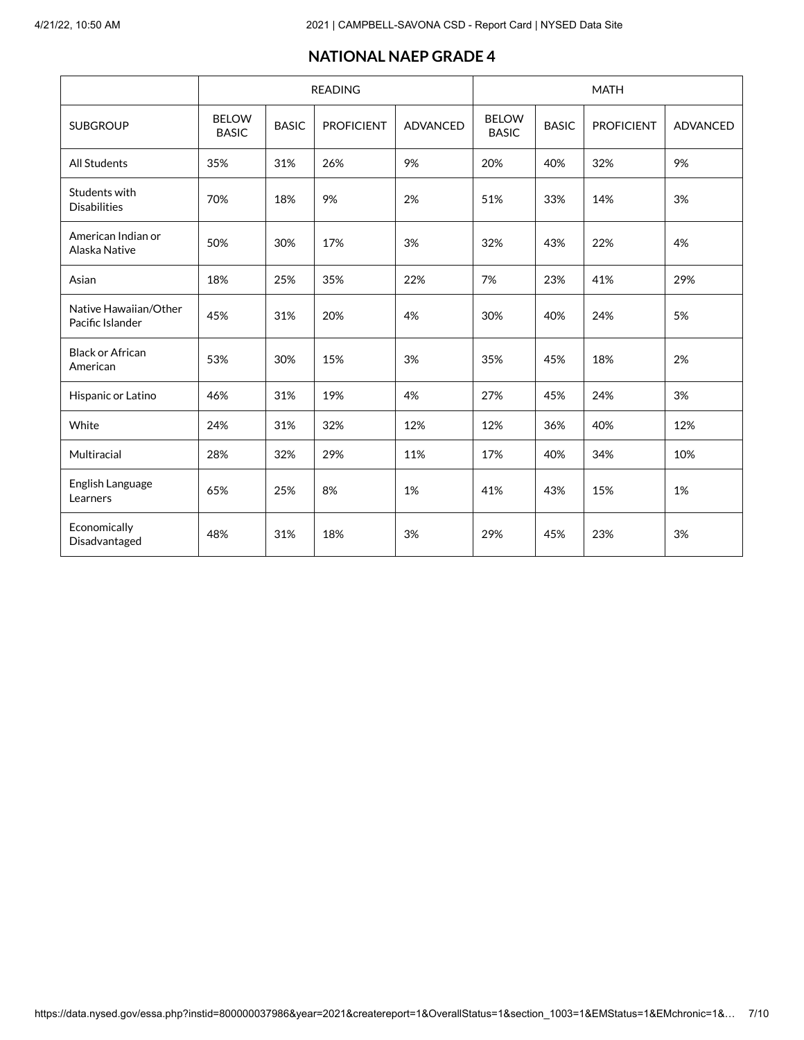### **NATIONAL NAEP GRADE 4**

|                                           |                              |              | <b>READING</b>    |                 |                              |              | <b>MATH</b> |                 |
|-------------------------------------------|------------------------------|--------------|-------------------|-----------------|------------------------------|--------------|-------------|-----------------|
| <b>SUBGROUP</b>                           | <b>BELOW</b><br><b>BASIC</b> | <b>BASIC</b> | <b>PROFICIENT</b> | <b>ADVANCED</b> | <b>BELOW</b><br><b>BASIC</b> | <b>BASIC</b> |             | <b>ADVANCED</b> |
| <b>All Students</b>                       | 35%                          | 31%          | 26%               | 9%              | 20%                          | 40%          | 32%         | 9%              |
| Students with<br><b>Disabilities</b>      | 70%                          | 9%<br>18%    |                   | 2%              | 51%                          |              | 14%         | 3%              |
| American Indian or<br>Alaska Native       | 50%<br>30%<br>17%            |              | 3%<br>32%         |                 | 43%                          | 22%          | 4%          |                 |
| Asian                                     | 18%<br>25%                   |              | 35%               | 22%<br>7%       |                              | 23%          | 41%         | 29%             |
| Native Hawaiian/Other<br>Pacific Islander | 45%                          | 31%          | 20%<br>4%<br>30%  |                 | 40%                          | 24%          | 5%          |                 |
| <b>Black or African</b><br>American       | 53%                          | 30%<br>15%   |                   | 3%              | 35%<br>45%                   |              | 18%         | 2%              |
| Hispanic or Latino                        | 46%                          | 31%          | 19%               | 4%              | 27%                          | 45%          | 24%         | 3%              |
| White                                     | 24%                          | 31%          | 32%               | 12%             | 12%                          | 36%          | 40%         | 12%             |
| Multiracial                               | 28%                          | 32%          | 29%               | 11%             | 17%                          | 40%          | 34%         | 10%             |
| English Language<br>Learners              | 65%                          | 25%<br>8%    |                   | 1%              | 41%                          |              | 15%         | 1%              |
| Economically<br>Disadvantaged             | 48%                          | 31%          | 18%               | 3%              | 29%                          | 45%          | 23%         | 3%              |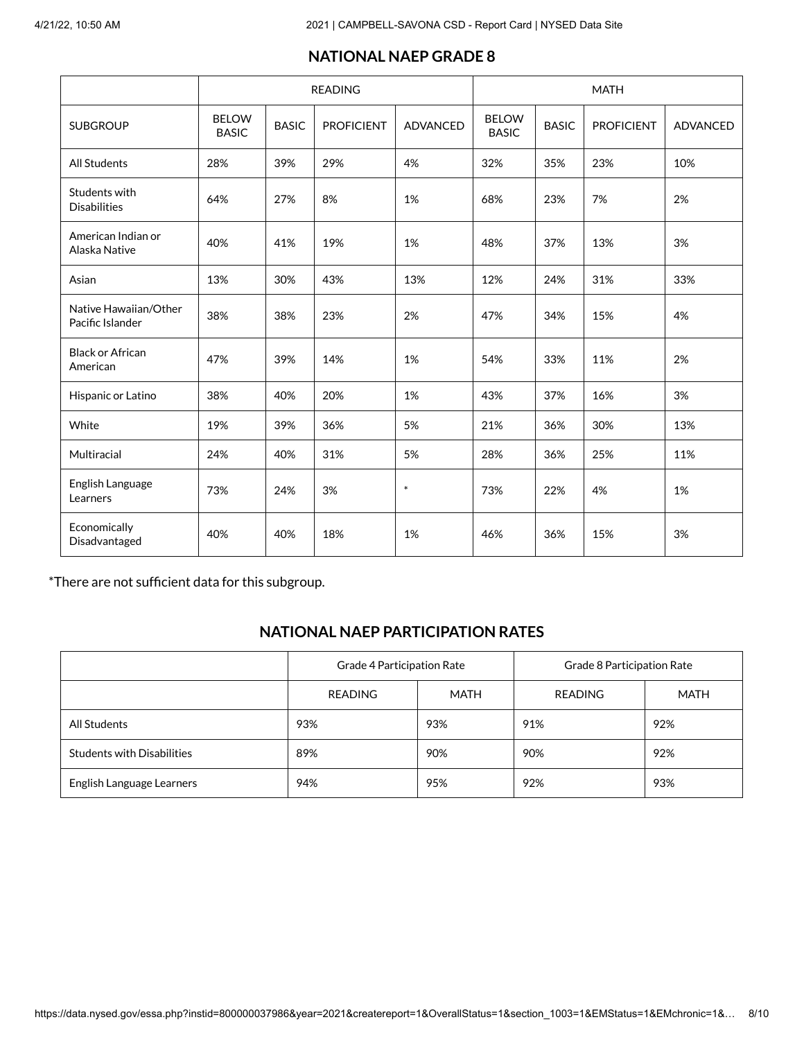|                                           |                              |              | <b>READING</b>    |                            | <b>MATH</b>                  |              |                   |          |  |  |
|-------------------------------------------|------------------------------|--------------|-------------------|----------------------------|------------------------------|--------------|-------------------|----------|--|--|
| <b>SUBGROUP</b>                           | <b>BELOW</b><br><b>BASIC</b> | <b>BASIC</b> | <b>PROFICIENT</b> | <b>ADVANCED</b>            | <b>BELOW</b><br><b>BASIC</b> | <b>BASIC</b> | <b>PROFICIENT</b> | ADVANCED |  |  |
| <b>All Students</b>                       | 28%                          | 39%          | 29%               | 4%                         | 32%                          | 35%          | 23%               | 10%      |  |  |
| Students with<br><b>Disabilities</b>      | 64%                          | 27%          | 8%                | 1%                         | 68%                          | 23%          | 7%                | 2%       |  |  |
| American Indian or<br>Alaska Native       | 40%                          |              | 19%<br>41%        |                            | 1%<br>48%                    |              | 13%               | 3%       |  |  |
| Asian                                     | 13%                          | 30%          | 43%               | 13%                        | 12%                          | 24%<br>31%   |                   | 33%      |  |  |
| Native Hawaiian/Other<br>Pacific Islander | 38%<br>38%                   |              | 23%<br>2%         |                            | 47%                          | 34%          | 15%               | 4%       |  |  |
| <b>Black or African</b><br>American       | 47%                          | 39%          | 14%               | 1%                         | 54%                          | 33%          | 11%               | 2%       |  |  |
| Hispanic or Latino                        | 38%                          | 40%          | 20%               | 1%                         | 43%                          | 37%          | 16%               | 3%       |  |  |
| White                                     | 19%                          | 39%          | 36%               | 5%                         | 21%                          | 36%          | 30%               | 13%      |  |  |
| Multiracial                               | 24%                          | 40%          | 31%               | 5%                         | 28%                          | 36%          | 25%               | 11%      |  |  |
| English Language<br>Learners              | 73%                          | 24%          | 3%                | $\ast$<br>22%<br>73%<br>4% |                              |              | 1%                |          |  |  |
| Economically<br>Disadvantaged             | 40%                          | 40%          | 18%               | 1%                         | 46%                          | 36%          | 15%               | 3%       |  |  |

## **NATIONAL NAEP GRADE 8**

\*There are not sufficient data for this subgroup.

## **NATIONAL NAEP PARTICIPATION RATES**

|                                   | Grade 4 Participation Rate |      | Grade 8 Participation Rate |      |  |  |
|-----------------------------------|----------------------------|------|----------------------------|------|--|--|
|                                   | <b>READING</b>             | MATH | <b>READING</b>             | MATH |  |  |
| All Students                      | 93%                        | 93%  | 91%                        | 92%  |  |  |
| <b>Students with Disabilities</b> | 89%                        | 90%  | 90%                        | 92%  |  |  |
| English Language Learners         | 94%                        | 95%  | 92%                        | 93%  |  |  |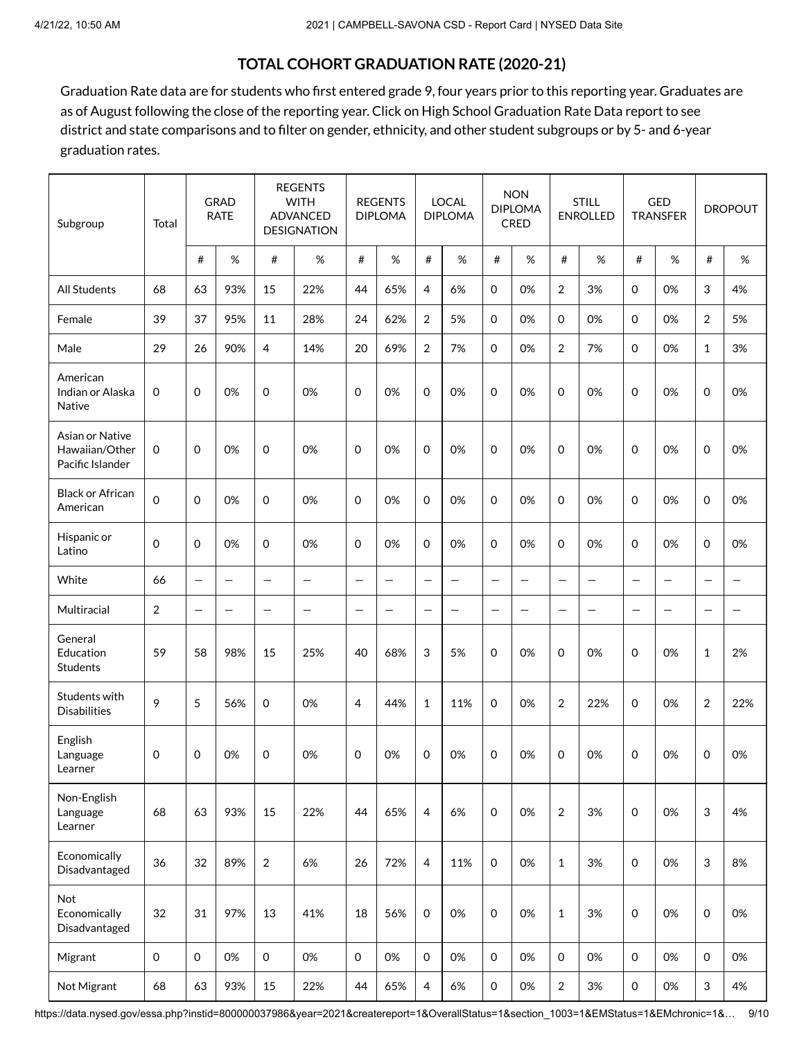## **TOTAL COHORT GRADUATION RATE (2020-21)**

Graduation Rate data are for students who first entered grade 9, four years prior to this reporting year. Graduates are as of August following the close of the reporting year. Click on High School [Graduation](https://data.nysed.gov/gradrate.php?instid=800000037986&year=2021&cohortgroup=0) Rate Data report to see district and state comparisons and to filter on gender, ethnicity, and other student subgroups or by 5- and 6-year graduation rates.

| Subgroup                                              | Total               |                   | <b>GRAD</b><br><b>RATE</b> |                          | <b>REGENTS</b><br><b>WITH</b><br><b>ADVANCED</b><br><b>DESIGNATION</b> |                     | <b>REGENTS</b><br><b>DIPLOMA</b> |                | <b>LOCAL</b><br><b>DIPLOMA</b> |                     | <b>NON</b><br><b>DIPLOMA</b><br><b>CRED</b> |                          | <b>STILL</b><br><b>ENROLLED</b> |                   | <b>GED</b><br><b>TRANSFER</b> |                          | <b>DROPOUT</b> |
|-------------------------------------------------------|---------------------|-------------------|----------------------------|--------------------------|------------------------------------------------------------------------|---------------------|----------------------------------|----------------|--------------------------------|---------------------|---------------------------------------------|--------------------------|---------------------------------|-------------------|-------------------------------|--------------------------|----------------|
|                                                       |                     | #                 | $\%$                       | #                        | $\%$                                                                   | #                   | $\%$                             | #              | %                              | #                   | $\%$                                        | #                        | %                               | #                 | $\%$                          | #                        | $\%$           |
| <b>All Students</b>                                   | 68                  | 63                | 93%                        | 15                       | 22%                                                                    | 44                  | 65%                              | 4              | 6%                             | $\mathbf 0$         | 0%                                          | $\overline{2}$           | 3%                              | 0                 | 0%                            | 3                        | 4%             |
| Female                                                | 39                  | 37                | 95%                        | 11                       | 28%                                                                    | 24                  | 62%                              | $\overline{2}$ | 5%                             | $\mathbf 0$         | 0%                                          | $\mathbf 0$              | 0%                              | $\mathbf 0$       | 0%                            | 2                        | 5%             |
| Male                                                  | 29                  | 26                | 90%                        | 4                        | 14%                                                                    | 20                  | 69%                              | $\overline{2}$ | 7%                             | $\mathbf 0$         | 0%                                          | $\overline{2}$           | 7%                              | $\mathbf 0$       | 0%                            | $\mathbf{1}$             | 3%             |
| American<br>Indian or Alaska<br>Native                | 0                   | 0                 | 0%                         | $\mathbf 0$              | 0%                                                                     | $\mathbf 0$         | 0%                               | 0              | 0%                             | $\mathbf 0$         | 0%                                          | 0                        | 0%                              | 0                 | 0%                            | $\mathbf 0$              | 0%             |
| Asian or Native<br>Hawaiian/Other<br>Pacific Islander | 0                   | $\Omega$          | 0%                         | $\mathbf 0$              | 0%                                                                     | $\mathbf 0$         | 0%                               | 0              | 0%                             | $\mathbf 0$         | 0%                                          | $\Omega$                 | 0%                              | $\Omega$          | 0%                            | $\mathbf 0$              | 0%             |
| <b>Black or African</b><br>American                   | $\mathbf 0$         | $\mathbf 0$       | 0%                         | $\mathbf 0$              | 0%                                                                     | $\mathbf 0$         | 0%                               | 0              | 0%                             | $\mathbf 0$         | 0%                                          | 0                        | 0%                              | 0                 | 0%                            | $\mathbf 0$              | 0%             |
| Hispanic or<br>Latino                                 | 0                   | $\Omega$          | 0%                         | $\mathbf 0$              | 0%                                                                     | 0                   | 0%                               | $\Omega$       | 0%                             | $\mathbf 0$         | 0%                                          | 0                        | 0%                              | $\mathbf 0$       | 0%                            | $\mathbf 0$              | 0%             |
| White                                                 | 66                  |                   |                            | $\overline{\phantom{0}}$ | $\equiv$                                                               | $\equiv$            | $\equiv$                         | —              | $\overline{\phantom{0}}$       | $\equiv$            | $\equiv$                                    | $\overline{\phantom{0}}$ | $\equiv$                        | $\equiv$          | $\overline{\phantom{m}}$      | $\overline{\phantom{0}}$ | $\equiv$       |
| Multiracial                                           | $\overline{2}$      | $\qquad \qquad -$ |                            | $\qquad \qquad -$        | -                                                                      | -                   | -                                | —              | $\qquad \qquad -$              | $\qquad \qquad -$   | $\overline{\phantom{0}}$                    | $\overline{\phantom{0}}$ |                                 | $\qquad \qquad -$ | $\overline{\phantom{m}}$      | -                        | —              |
| General<br>Education<br>Students                      | 59                  | 58                | 98%                        | 15                       | 25%                                                                    | 40                  | 68%                              | 3              | 5%                             | 0                   | 0%                                          | $\mathbf 0$              | 0%                              | 0                 | 0%                            | $\mathbf{1}$             | 2%             |
| Students with<br><b>Disabilities</b>                  | 9                   | 5                 | 56%                        | $\mathbf 0$              | 0%                                                                     | 4                   | 44%                              | $\mathbf{1}$   | 11%                            | $\mathbf 0$         | 0%                                          | 2                        | 22%                             | 0                 | 0%                            | $\overline{2}$           | 22%            |
| English<br>Language<br>Learner                        | 0                   | 0                 | 0%                         | 0                        | 0%                                                                     | 0                   | 0%                               | 0              | 0%                             | $\mathbf 0$         | 0%                                          | 0                        | 0%                              | 0                 | 0%                            | 0                        | 0%             |
| Non-English<br>Language<br>Learner                    | 68                  | 63                | 93%                        | 15                       | 22%                                                                    | 44                  | 65%                              | $\overline{4}$ | 6%                             | $\mathbf 0$         | 0%                                          | $\overline{2}$           | 3%                              | $\mathbf 0$       | 0%                            | 3                        | 4%             |
| Economically<br>Disadvantaged                         | 36                  | 32                | 89%                        | $\overline{2}$           | 6%                                                                     | 26                  | 72%                              | $\overline{4}$ | 11%                            | $\mathsf{O}\xspace$ | 0%                                          | $\mathbf{1}$             | 3%                              | $\mathbf 0$       | 0%                            | 3                        | 8%             |
| Not<br>Economically<br>Disadvantaged                  | 32                  | 31                | 97%                        | 13                       | 41%                                                                    | 18                  | 56%                              | $\mathsf{O}$   | 0%                             | $\mathsf{O}\xspace$ | 0%                                          | $1\,$                    | 3%                              | $\mathbf 0$       | 0%                            | $\mathbf 0$              | 0%             |
| Migrant                                               | $\mathsf{O}\xspace$ | $\mathbf 0$       | 0%                         | $\mathsf{O}\xspace$      | 0%                                                                     | $\mathsf{O}\xspace$ | 0%                               | $\mathbf 0$    | 0%                             | $\mathbf 0$         | 0%                                          | $\mathbf 0$              | 0%                              | $\mathbf 0$       | 0%                            | $\mathsf{O}\xspace$      | 0%             |
| Not Migrant                                           | 68                  | 63                | 93%                        | 15                       | 22%                                                                    | 44                  | 65%                              | 4              | 6%                             | $\mathsf 0$         | 0%                                          | $\overline{2}$           | 3%                              | $\mathsf{O}$      | 0%                            | 3                        | $4%$           |

https://data.nysed.gov/essa.php?instid=800000037986&year=2021&createreport=1&OverallStatus=1&section\_1003=1&EMStatus=1&EMchronic=1&... 9/10